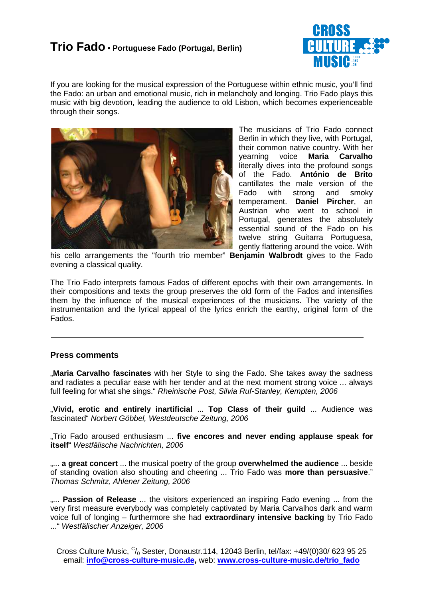

If you are looking for the musical expression of the Portuguese within ethnic music, you'll find the Fado: an urban and emotional music, rich in melancholy and longing. Trio Fado plays this music with big devotion, leading the audience to old Lisbon, which becomes experienceable through their songs.



The musicians of Trio Fado connect Berlin in which they live, with Portugal, their common native country. With her yearning voice **Maria Carvalho** literally dives into the profound songs of the Fado. **António de Brito** cantillates the male version of the Fado with strong and smoky temperament. **Daniel Pircher**, an Austrian who went to school in Portugal, generates the absolutely essential sound of the Fado on his twelve string Guitarra Portuguesa, gently flattering around the voice. With

his cello arrangements the "fourth trio member" **Benjamin Walbrodt** gives to the Fado evening a classical quality.

The Trio Fado interprets famous Fados of different epochs with their own arrangements. In their compositions and texts the group preserves the old form of the Fados and intensifies them by the influence of the musical experiences of the musicians. The variety of the instrumentation and the lyrical appeal of the lyrics enrich the earthy, original form of the Fados.

### **Press comments**

"**Maria Carvalho fascinates** with her Style to sing the Fado. She takes away the sadness and radiates a peculiar ease with her tender and at the next moment strong voice ... always full feeling for what she sings." Rheinische Post, Silvia Ruf-Stanley, Kempten, 2006

"**Vivid, erotic and entirely inartificial** ... **Top Class of their guild** ... Audience was fascinated" Norbert Göbbel, Westdeutsche Zeitung, 2006

"Trio Fado aroused enthusiasm ... **five encores and never ending applause speak for itself**" Westfälische Nachrichten, 2006

"... **a great concert** ... the musical poetry of the group **overwhelmed the audience** ... beside of standing ovation also shouting and cheering ... Trio Fado was **more than persuasive**." Thomas Schmitz, Ahlener Zeitung, 2006

.... **Passion of Release** ... the visitors experienced an inspiring Fado evening ... from the very first measure everybody was completely captivated by Maria Carvalhos dark and warm voice full of longing – furthermore she had **extraordinary intensive backing** by Trio Fado ..." Westfälischer Anzeiger, 2006

Cross Culture Music,  $C/0$  Sester, Donaustr.114, 12043 Berlin, tel/fax: +49/(0)30/ 623 95 25 email: **info@cross-culture-music.de,** web: **www.cross-culture-music.de/trio\_fado**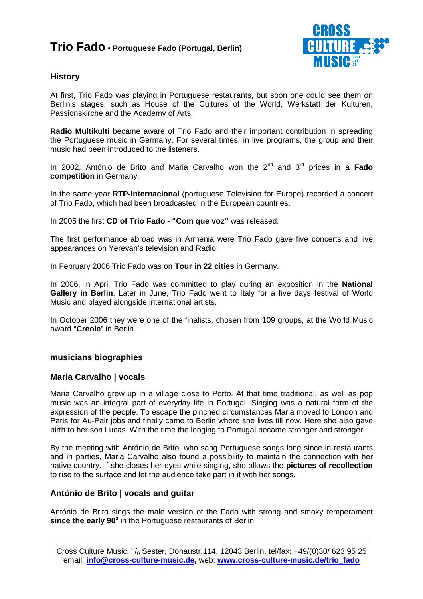

### **History**

At first, Trio Fado was playing in Portuguese restaurants, but soon one could see them on Berlin's stages, such as House of the Cultures of the World, Werkstatt der Kulturen, Passionskirche and the Academy of Arts.

**Radio Multikulti** became aware of Trio Fado and their important contribution in spreading the Portuguese music in Germany. For several times, in live programs, the group and their music had been introduced to the listeners.

In 2002, António de Brito and Maria Carvalho won the 2nd and 3rd prices in a **Fado competition** in Germany.

In the same year **RTP-Internacional** (portuguese Television for Europe) recorded a concert of Trio Fado, which had been broadcasted in the European countries.

In 2005 the first **CD of Trio Fado - "Com que voz"** was released.

The first performance abroad was in Armenia were Trio Fado gave five concerts and live appearances on Yerevan's television and Radio.

In February 2006 Trio Fado was on **Tour in 22 cities** in Germany.

In 2006, in April Trio Fado was committed to play during an exposition in the **National Gallery in Berlin**. Later in June, Trio Fado went to Italy for a five days festival of World Music and played alongside international artists.

In October 2006 they were one of the finalists, chosen from 109 groups, at the World Music award "**Creole**" in Berlin.

### **musicians biographies**

### **Maria Carvalho | vocals**

Maria Carvalho grew up in a village close to Porto. At that time traditional, as well as pop music was an integral part of everyday life in Portugal. Singing was a natural form of the expression of the people. To escape the pinched circumstances Maria moved to London and Paris for Au-Pair jobs and finally came to Berlin where she lives till now. Here she also gave birth to her son Lucas. With the time the longing to Portugal became stronger and stronger.

By the meeting with António de Brito, who sang Portuguese songs long since in restaurants and in parties, Maria Carvalho also found a possibility to maintain the connection with her native country. If she closes her eyes while singing, she allows the **pictures of recollection** to rise to the surface and let the audience take part in it with her songs.

### **António de Brito | vocals and guitar**

António de Brito sings the male version of the Fado with strong and smoky temperament since the early 90<sup>s</sup> in the Portuguese restaurants of Berlin.

Cross Culture Music,  $C/0$  Sester, Donaustr.114, 12043 Berlin, tel/fax: +49/(0)30/ 623 95 25 email: **info@cross-culture-music.de,** web: **www.cross-culture-music.de/trio\_fado**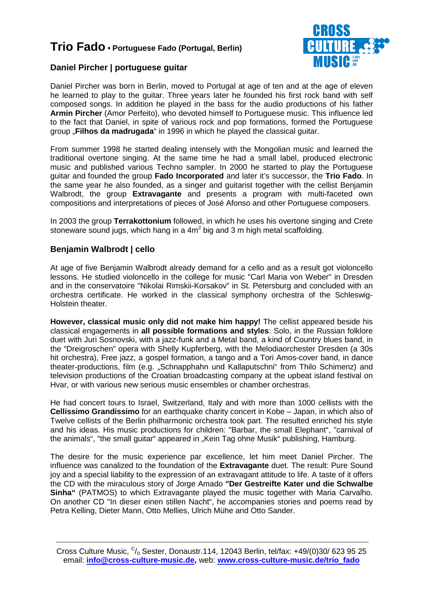

### **Daniel Pircher | portuguese guitar**

Daniel Pircher was born in Berlin, moved to Portugal at age of ten and at the age of eleven he learned to play to the guitar. Three years later he founded his first rock band with self composed songs. In addition he played in the bass for the audio productions of his father **Armin Pircher** (Amor Perfeito), who devoted himself to Portuguese music. This influence led to the fact that Daniel, in spite of various rock and pop formations, formed the Portuguese group "**Filhos da madrugada**" in 1996 in which he played the classical guitar.

From summer 1998 he started dealing intensely with the Mongolian music and learned the traditional overtone singing. At the same time he had a small label, produced electronic music and published various Techno sampler. In 2000 he started to play the Portuguese guitar and founded the group **Fado Incorporated** and later it's successor, the **Trio Fado**. In the same year he also founded, as a singer and guitarist together with the cellist Benjamin Walbrodt, the group **Extravagante** and presents a program with multi-faceted own compositions and interpretations of pieces of José Afonso and other Portuguese composers.

In 2003 the group **Terrakottonium** followed, in which he uses his overtone singing and Crete stoneware sound jugs, which hang in a  $4m^2$  big and 3 m high metal scaffolding.

### **Benjamin Walbrodt | cello**

At age of five Benjamin Walbrodt already demand for a cello and as a result got violoncello lessons. He studied violoncello in the college for music "Carl Maria von Weber" in Dresden and in the conservatoire "Nikolai Rimskii-Korsakov" in St. Petersburg and concluded with an orchestra certificate. He worked in the classical symphony orchestra of the Schleswig-Holstein theater.

**However, classical music only did not make him happy!** The cellist appeared beside his classical engagements in **all possible formations and styles**: Solo, in the Russian folklore duet with Juri Sosnovski, with a jazz-funk and a Metal band, a kind of Country blues band, in the "Dreigroschen" opera with Shelly Kupferberg, with the Melodiaorchester Dresden (a 30s hit orchestra), Free jazz, a gospel formation, a tango and a Tori Amos-cover band, in dance theater-productions, film (e.g. "Schnapphahn und Kallaputschni" from Thilo Schimenz) and television productions of the Croatian broadcasting company at the upbeat island festival on Hvar, or with various new serious music ensembles or chamber orchestras.

He had concert tours to Israel, Switzerland, Italy and with more than 1000 cellists with the **Cellissimo Grandissimo** for an earthquake charity concert in Kobe – Japan, in which also of Twelve cellists of the Berlin philharmonic orchestra took part. The resulted enriched his style and his ideas. His music productions for children: "Barbar, the small Elephant", "carnival of the animals", "the small quitar" appeared in "Kein Tag ohne Musik" publishing, Hamburg.

The desire for the music experience par excellence, let him meet Daniel Pircher. The influence was canalized to the foundation of the **Extravagante** duet. The result: Pure Sound joy and a special liability to the expression of an extravagant attitude to life. A taste of it offers the CD with the miraculous story of Jorge Amado **"Der Gestreifte Kater und die Schwalbe Sinha"** (PATMOS) to which Extravagante played the music together with Maria Carvalho. On another CD "In dieser einen stillen Nacht", he accompanies stories and poems read by Petra Kelling, Dieter Mann, Otto Mellies, Ulrich Mühe and Otto Sander.

Cross Culture Music,  $C/0$  Sester, Donaustr.114, 12043 Berlin, tel/fax: +49/(0)30/ 623 95 25 email: **info@cross-culture-music.de,** web: **www.cross-culture-music.de/trio\_fado**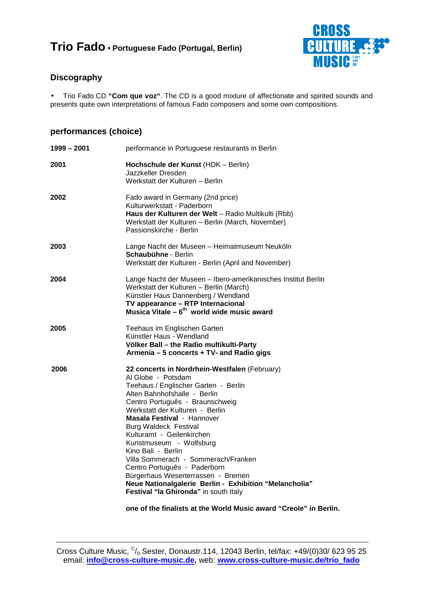

### **Discography**

• Trio Fado CD **"Com que voz"**. The CD is a good mixture of affectionate and spirited sounds and presents quite own interpretations of famous Fado composers and some own compositions.

### **performances (choice)**

| $1999 - 2001$ | performance in Portuguese restaurants in Berlin                                                                                                                                                                                                                                                                                                                                                                                                                                                                                                                               |
|---------------|-------------------------------------------------------------------------------------------------------------------------------------------------------------------------------------------------------------------------------------------------------------------------------------------------------------------------------------------------------------------------------------------------------------------------------------------------------------------------------------------------------------------------------------------------------------------------------|
| 2001          | Hochschule der Kunst (HDK - Berlin)<br>Jazzkeller Dresden<br>Werkstatt der Kulturen - Berlin                                                                                                                                                                                                                                                                                                                                                                                                                                                                                  |
| 2002          | Fado award in Germany (2nd price)<br>Kulturwerkstatt - Paderborn<br>Haus der Kulturen der Welt - Radio Multikulti (Rbb)<br>Werkstatt der Kulturen - Berlin (March, November)<br>Passionskirche - Berlin                                                                                                                                                                                                                                                                                                                                                                       |
| 2003          | Lange Nacht der Museen - Heimatmuseum Neuköln<br><b>Schaubühne - Berlin</b><br>Werkstatt der Kulturen - Berlin (April and November)                                                                                                                                                                                                                                                                                                                                                                                                                                           |
| 2004          | Lange Nacht der Museen - Ibero-amerikanisches Institut Berlin<br>Werkstatt der Kulturen - Berlin (March)<br>Künstler Haus Dannenberg / Wendland<br>TV appearance - RTP Internacional<br>Musica Vitale $-6^{th}$ world wide music award                                                                                                                                                                                                                                                                                                                                        |
| 2005          | Teehaus im Englischen Garten<br>Künstler Haus - Wendland<br>Völker Ball – the Radio multikulti-Party<br>Armenia - 5 concerts + TV- and Radio gigs                                                                                                                                                                                                                                                                                                                                                                                                                             |
| 2006          | 22 concerts in Nordrhein-Westfalen (February)<br>Al Globe - Potsdam<br>Teehaus / Englischer Garten - Berlin<br>Alten Bahnhofshalle - Berlin<br>Centro Português - Braunschweig<br>Werkstatt der Kulturen - Berlin<br>Masala Festival - Hannover<br><b>Burg Waldeck Festival</b><br>Kulturamt - Geilenkirchen<br>Kunstmuseum - Wolfsburg<br>Kino Bali - Berlin<br>Villa Sommerach - Sommerach/Franken<br>Centro Português - Paderborn<br>Bürgerhaus Weserterrassen - Bremen<br>Neue Nationalgalerie Berlin - Exhibition "Melancholia"<br>Festival "la Ghironda" in south Italy |

**one of the finalists at the World Music award "Creole" in Berlin.**

Cross Culture Music,  $C/0$  Sester, Donaustr.114, 12043 Berlin, tel/fax: +49/(0)30/ 623 95 25 email: **info@cross-culture-music.de,** web: **www.cross-culture-music.de/trio\_fado**